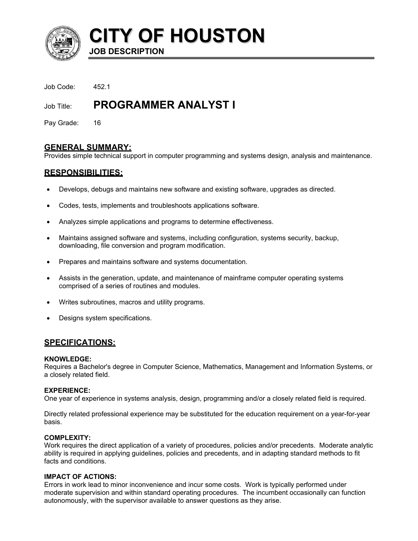

**CITY OF HOUSTON JOB DESCRIPTION** 

Job Code: 452.1

# Job Title: **PROGRAMMER ANALYST I**

Pay Grade: 16

# **GENERAL SUMMARY:**

Provides simple technical support in computer programming and systems design, analysis and maintenance.

# **RESPONSIBILITIES:**

- Develops, debugs and maintains new software and existing software, upgrades as directed.
- Codes, tests, implements and troubleshoots applications software.
- Analyzes simple applications and programs to determine effectiveness.
- Maintains assigned software and systems, including configuration, systems security, backup, downloading, file conversion and program modification.
- Prepares and maintains software and systems documentation.
- Assists in the generation, update, and maintenance of mainframe computer operating systems comprised of a series of routines and modules.
- Writes subroutines, macros and utility programs.
- Designs system specifications.

# **SPECIFICATIONS:**

## **KNOWLEDGE:**

Requires a Bachelor's degree in Computer Science, Mathematics, Management and Information Systems, or a closely related field.

## **EXPERIENCE:**

One year of experience in systems analysis, design, programming and/or a closely related field is required.

Directly related professional experience may be substituted for the education requirement on a year-for-year basis.

# **COMPLEXITY:**

Work requires the direct application of a variety of procedures, policies and/or precedents. Moderate analytic ability is required in applying guidelines, policies and precedents, and in adapting standard methods to fit facts and conditions.

## **IMPACT OF ACTIONS:**

Errors in work lead to minor inconvenience and incur some costs. Work is typically performed under moderate supervision and within standard operating procedures. The incumbent occasionally can function autonomously, with the supervisor available to answer questions as they arise.